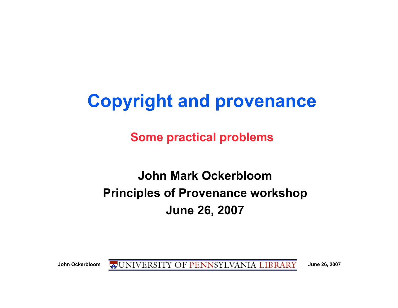# **Copyright and provenance**

**Some practical problems**

#### **John Mark Ockerbloom Principles of Provenance workshop June 26, 2007**

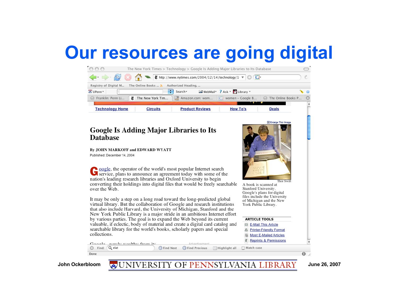### **Our resources are going digital**



John Ockerbloom **WEDNIVERSITY OF PENNSYLVANIA LIBRARY** June 26, 2007

Done

 $\bullet$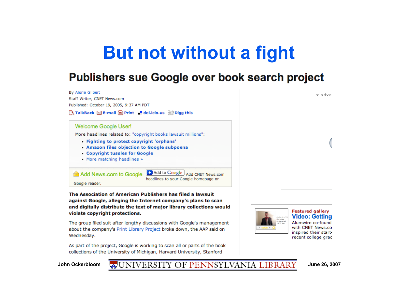### **But not without a fight**

#### **Publishers sue Google over book search project**



The group filed suit after lengthy discussions with Google's management about the company's Print Library Project broke down, the AAP said on Wednesday.

As part of the project, Google is working to scan all or parts of the book collections of the University of Michigan, Harvard University, Stanford



Alumwire co-found with CNET News.co inspired their startrecent college grac

John Ockerbloom **WEINTY OF PENNSYLVANIA LIBRARY** June 26, 2007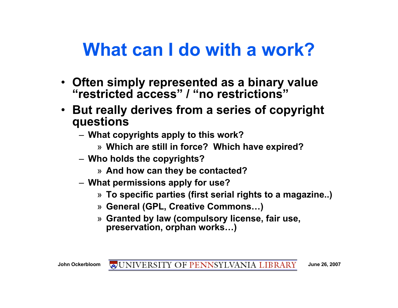## **What can I do with a work?**

- **Often simply represented as a binary value "restricted access" / "no restrictions"**
- **But really derives from a series of copyright questions**
	- **What copyrights apply to this work?**
		- » **Which are still in force? Which have expired?**
	- **Who holds the copyrights?**
		- » **And how can they be contacted?**
	- **What permissions apply for use?**
		- » **To specific parties (first serial rights to a magazine..)**
		- » **General (GPL, Creative Commons…)**
		- » **Granted by law (compulsory license, fair use, preservation, orphan works…)**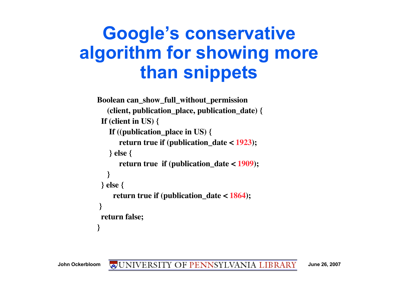# **Google's conservative algorithm for showing more than snippets**

```
Boolean can_show_full_without_permission
    (client, publication_place, publication_date) {
  If (client in US) {
    If ((publication_place in US) {
       return true if (publication_date < 1923);
    } else {
       return true if (publication_date < 1909);
    }
  } else {
     return true if (publication_date < 1864);
 }
  return false;
}
```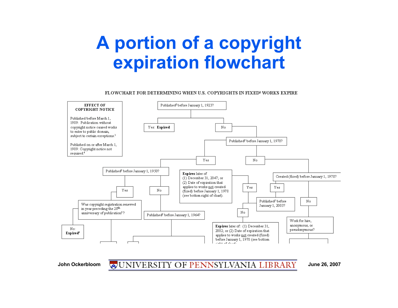# **A portion of a copyright expiration flowchart**

FLOWCHART FOR DETERMINING WHEN U.S. COPYRIGHTS IN FIXED<sup>1</sup> WORKS EXPIRE



#### John Ockerbloom **WEDNIVERSITY OF PENNSYLVANIA LIBRARY** June 26, 2007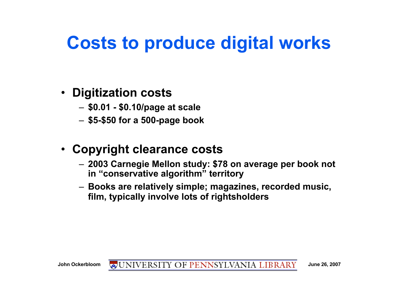# **Costs to produce digital works**

#### • **Digitization costs**

- **\$0.01 \$0.10/page at scale**
- **\$5-\$50 for a 500-page book**

#### • **Copyright clearance costs**

- **2003 Carnegie Mellon study: \$78 on average per book not in "conservative algorithm" territory**
- **Books are relatively simple; magazines, recorded music, film, typically involve lots of rightsholders**

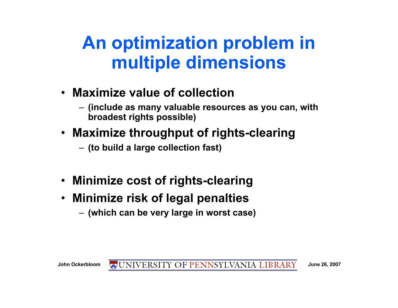# **An optimization problem in multiple dimensions**

- **Maximize value of collection**
	- **(include as many valuable resources as you can, with broadest rights possible)**
- **Maximize throughput of rights-clearing**
	- **(to build a large collection fast)**
- **Minimize cost of rights-clearing**
- **Minimize risk of legal penalties**
	- **(which can be very large in worst case)**

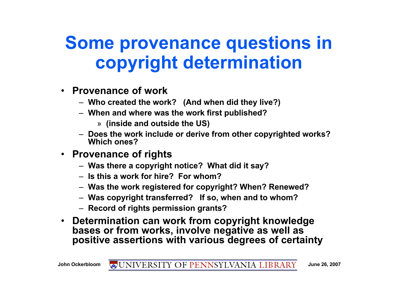# **Some provenance questions in copyright determination**

- **Provenance of work**
	- **Who created the work? (And when did they live?)**
	- **When and where was the work first published?**
		- » **(inside and outside the US)**
	- **Does the work include or derive from other copyrighted works? Which ones?**
- **Provenance of rights**
	- **Was there a copyright notice? What did it say?**
	- **Is this a work for hire? For whom?**
	- **Was the work registered for copyright? When? Renewed?**
	- **Was copyright transferred? If so, when and to whom?**
	- **Record of rights permission grants?**
- **Determination can work from copyright knowledge bases or from works, involve negative as well as positive assertions with various degrees of certainty**

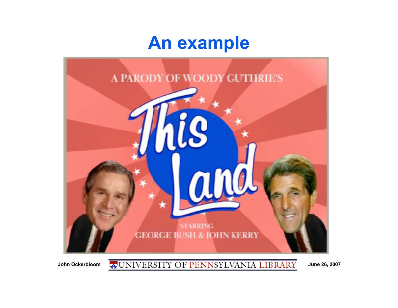#### **An example**



John Ockerbloom **WEDERSITY OF PENNSYLVANIA LIBRARY** June 26, 2007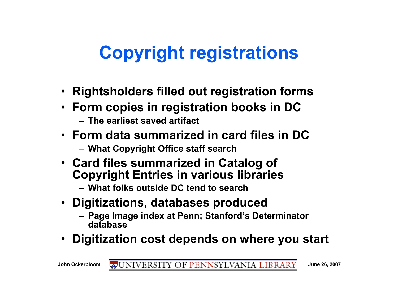# **Copyright registrations**

- **Rightsholders filled out registration forms**
- **Form copies in registration books in DC**
	- **The earliest saved artifact**
- **Form data summarized in card files in DC**
	- **What Copyright Office staff search**
- **Card files summarized in Catalog of Copyright Entries in various libraries**
	- **What folks outside DC tend to search**
- **Digitizations, databases produced**
	- **Page Image index at Penn; Stanford's Determinator database**
- **Digitization cost depends on where you start**

John Ockerbloom **WEDNIVERSITY OF PENNSYLVANIA LIBRARY** June 26, 2007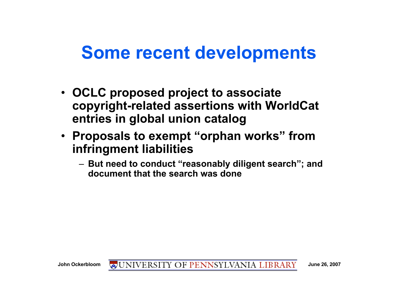#### **Some recent developments**

- **OCLC proposed project to associate copyright-related assertions with WorldCat entries in global union catalog**
- **Proposals to exempt "orphan works" from infringment liabilities**
	- **But need to conduct "reasonably diligent search"; and document that the search was done**